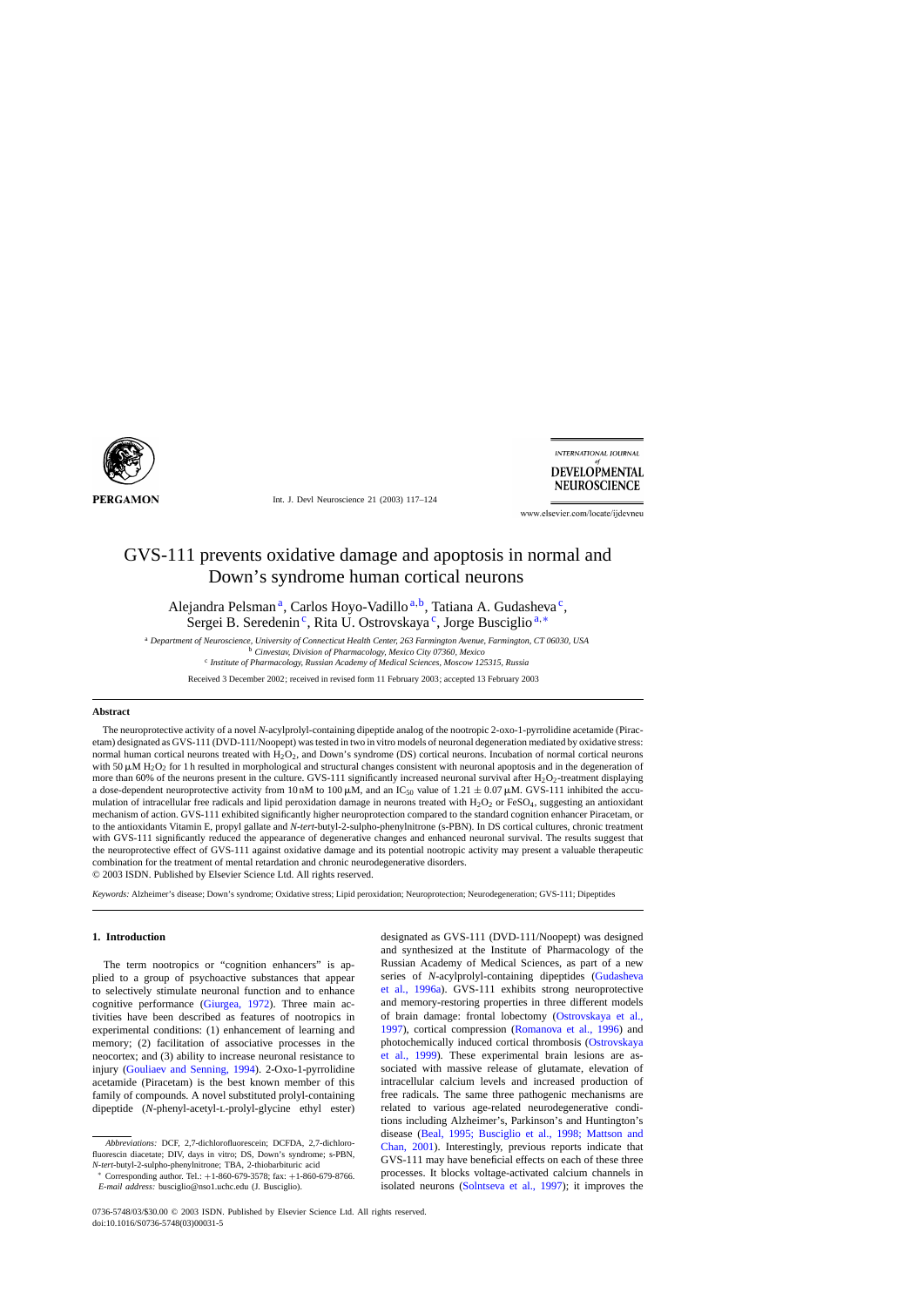

Int. J. Devl Neuroscience 21 (2003) 117–124

**INTERNATIONAL JOURNAL DEVELOPMENTAL NEUROSCIENCE** 

www.elsevier.com/locate/ijdevneu

# GVS-111 prevents oxidative damage and apoptosis in normal and Down's syndrome human cortical neurons

Alejandra Pelsman<sup>a</sup>, Carlos Hoyo-Vadillo<sup>a,b</sup>, Tatiana A. Gudasheva<sup>c</sup>, Sergei B. Seredenin<sup>c</sup>, Rita U. Ostrovskaya<sup>c</sup>, Jorge Busciglio<sup>a,\*</sup>

<sup>a</sup> *Department of Neuroscience, University of Connecticut Health Center, 263 Farmington Avenue, Farmington, CT 06030, USA* <sup>b</sup> *Cinvestav, Division of Pharmacology, Mexico City 07360, Mexico*

<sup>c</sup> *Institute of Pharmacology, Russian Academy of Medical Sciences, Moscow 125315, Russia*

Received 3 December 2002; received in revised form 11 February 2003; accepted 13 February 2003

#### **Abstract**

The neuroprotective activity of a novel *N*-acylprolyl-containing dipeptide analog of the nootropic 2-oxo-1-pyrrolidine acetamide (Piracetam) designated as GVS-111 (DVD-111/Noopept) was tested in two in vitro models of neuronal degeneration mediated by oxidative stress: normal human cortical neurons treated with  $H_2O_2$ , and Down's syndrome (DS) cortical neurons. Incubation of normal cortical neurons with 50  $\mu$ M H<sub>2</sub>O<sub>2</sub> for 1 h resulted in morphological and structural changes consistent with neuronal apoptosis and in the degeneration of more than 60% of the neurons present in the culture. GVS-111 significantly increased neuronal survival after  $H_2O_2$ -treatment displaying a dose-dependent neuroprotective activity from 10 nM to 100  $\mu$ M, and an IC<sub>50</sub> value of 1.21  $\pm$  0.07  $\mu$ M. GVS-111 inhibited the accumulation of intracellular free radicals and lipid peroxidation damage in neurons treated with  $H_2O_2$  or  $FeSO_4$ , suggesting an antioxidant mechanism of action. GVS-111 exhibited significantly higher neuroprotection compared to the standard cognition enhancer Piracetam, or to the antioxidants Vitamin E, propyl gallate and *N*-*tert*-butyl-2-sulpho-phenylnitrone (s-PBN). In DS cortical cultures, chronic treatment with GVS-111 significantly reduced the appearance of degenerative changes and enhanced neuronal survival. The results suggest that the neuroprotective effect of GVS-111 against oxidative damage and its potential nootropic activity may present a valuable therapeutic combination for the treatment of mental retardation and chronic neurodegenerative disorders. © 2003 ISDN. Published by Elsevier Science Ltd. All rights reserved.

*Keywords:* Alzheimer's disease; Down's syndrome; Oxidative stress; Lipid peroxidation; Neuroprotection; Neurodegeneration; GVS-111; Dipeptides

#### **1. Introduction**

The term nootropics or "cognition enhancers" is applied to a group of psychoactive substances that appear to selectively stimulate neuronal function and to enhance cognitive performance ([Giurgea, 1972\)](#page-6-0). Three main activities have been described as features of nootropics in experimental conditions: (1) enhancement of learning and memory; (2) facilitation of associative processes in the neocortex; and (3) ability to increase neuronal resistance to injury [\(Gouliaev and Senning, 1994\)](#page-6-0). 2-Oxo-1-pyrrolidine acetamide (Piracetam) is the best known member of this family of compounds. A novel substituted prolyl-containing dipeptide (*N*-phenyl-acetyl-l-prolyl-glycine ethyl ester)

*Abbreviations:* DCF, 2,7-dichlorofluorescein; DCFDA, 2,7-dichlorofluorescin diacetate; DIV, days in vitro; DS, Down's syndrome; s-PBN, *N*-*tert*-butyl-2-sulpho-phenylnitrone; TBA, 2-thiobarbituric acid

<sup>∗</sup> Corresponding author. Tel.: +1-860-679-3578; fax: +1-860-679-8766. *E-mail address:* busciglio@nso1.uchc.edu (J. Busciglio).

designated as GVS-111 (DVD-111/Noopept) was designed and synthesized at the Institute of Pharmacology of the Russian Academy of Medical Sciences, as part of a new series of *N*-acylprolyl-containing dipeptides ([Gudasheva](#page-6-0) [et al., 1996a](#page-6-0)). GVS-111 exhibits strong neuroprotective and memory-restoring properties in three different models of brain damage: frontal lobectomy [\(Ostrovskaya et al.,](#page-7-0) [1997\),](#page-7-0) cortical compression ([Romanova et al., 1996\)](#page-7-0) and photochemically induced cortical thrombosis ([Ostrovskaya](#page-7-0) [et al., 1999](#page-7-0)). These experimental brain lesions are associated with massive release of glutamate, elevation of intracellular calcium levels and increased production of free radicals. The same three pathogenic mechanisms are related to various age-related neurodegenerative conditions including Alzheimer's, Parkinson's and Huntington's disease ([Beal, 1995; Busciglio et al., 1998; Mattson an](#page-6-0)d [Chan, 2001\)](#page-6-0). Interestingly, previous reports indicate that GVS-111 may have beneficial effects on each of these three processes. It blocks voltage-activated calcium channels in isolated neurons ([Solntseva et al., 1997\)](#page-7-0); it improves the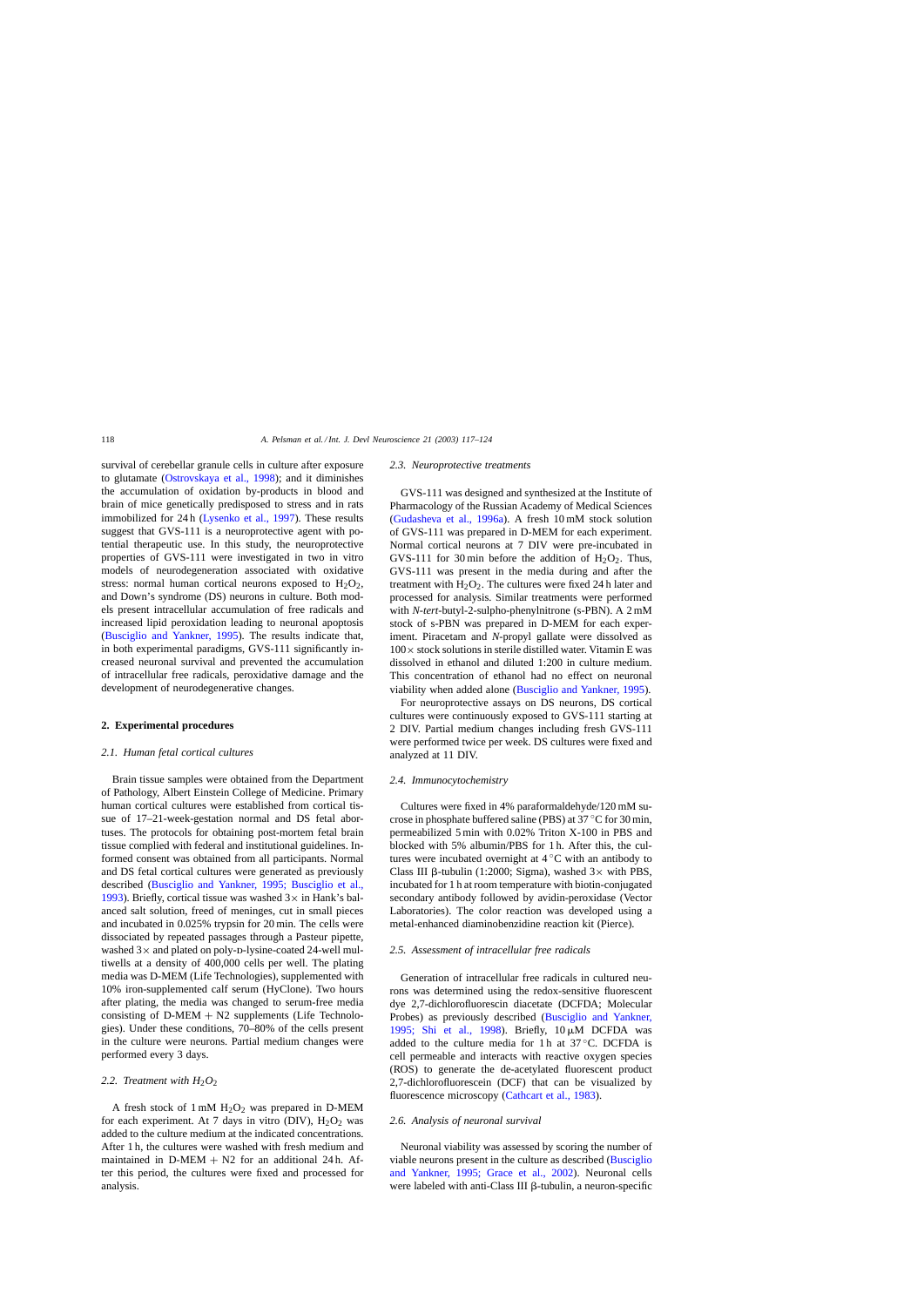<span id="page-1-0"></span>survival of cerebellar granule cells in culture after exposure to glutamate [\(Ostrovskaya et al., 1998\)](#page-7-0); and it diminishes the accumulation of oxidation by-products in blood and brain of mice genetically predisposed to stress and in rats immobilized for 24 h [\(Lysenko et al., 1997\)](#page-7-0). These results suggest that GVS-111 is a neuroprotective agent with potential therapeutic use. In this study, the neuroprotective properties of GVS-111 were investigated in two in vitro models of neurodegeneration associated with oxidative stress: normal human cortical neurons exposed to  $H_2O_2$ , and Down's syndrome (DS) neurons in culture. Both models present intracellular accumulation of free radicals and increased lipid peroxidation leading to neuronal apoptosis ([Busciglio and Yankner, 1995\)](#page-6-0). The results indicate that, in both experimental paradigms, GVS-111 significantly increased neuronal survival and prevented the accumulation of intracellular free radicals, peroxidative damage and the development of neurodegenerative changes.

#### **2. Experimental procedures**

# *2.1. Human fetal cortical cultures*

Brain tissue samples were obtained from the Department of Pathology, Albert Einstein College of Medicine. Primary human cortical cultures were established from cortical tissue of 17–21-week-gestation normal and DS fetal abortuses. The protocols for obtaining post-mortem fetal brain tissue complied with federal and institutional guidelines. Informed consent was obtained from all participants. Normal and DS fetal cortical cultures were generated as previously described [\(Busciglio and Yankner, 1995; Busciglio et al.](#page-6-0), [1993\).](#page-6-0) Briefly, cortical tissue was washed  $3 \times$  in Hank's balanced salt solution, freed of meninges, cut in small pieces and incubated in 0.025% trypsin for 20 min. The cells were dissociated by repeated passages through a Pasteur pipette, washed  $3\times$  and plated on poly-D-lysine-coated 24-well multiwells at a density of 400,000 cells per well. The plating media was D-MEM (Life Technologies), supplemented with 10% iron-supplemented calf serum (HyClone). Two hours after plating, the media was changed to serum-free media consisting of  $D-MEM + N2$  supplements (Life Technologies). Under these conditions, 70–80% of the cells present in the culture were neurons. Partial medium changes were performed every 3 days.

# 2.2. Treatment with  $H_2O_2$

A fresh stock of  $1 \text{ mM } H_2O_2$  was prepared in D-MEM for each experiment. At 7 days in vitro (DIV),  $H_2O_2$  was added to the culture medium at the indicated concentrations. After 1 h, the cultures were washed with fresh medium and maintained in  $D-MEM + N2$  for an additional 24 h. After this period, the cultures were fixed and processed for analysis.

#### *2.3. Neuroprotective treatments*

GVS-111 was designed and synthesized at the Institute of Pharmacology of the Russian Academy of Medical Sciences ([Gudasheva et al., 1996a\)](#page-6-0). A fresh 10 mM stock solution of GVS-111 was prepared in D-MEM for each experiment. Normal cortical neurons at 7 DIV were pre-incubated in GVS-111 for 30 min before the addition of  $H_2O_2$ . Thus, GVS-111 was present in the media during and after the treatment with  $H_2O_2$ . The cultures were fixed 24 h later and processed for analysis. Similar treatments were performed with *N*-*tert*-butyl-2-sulpho-phenylnitrone (s-PBN). A 2 mM stock of s-PBN was prepared in D-MEM for each experiment. Piracetam and *N*-propyl gallate were dissolved as  $100\times$  stock solutions in sterile distilled water. Vitamin E was dissolved in ethanol and diluted 1:200 in culture medium. This concentration of ethanol had no effect on neuronal viability when added alone ([Busciglio and Yankner, 1995\).](#page-6-0)

For neuroprotective assays on DS neurons, DS cortical cultures were continuously exposed to GVS-111 starting at 2 DIV. Partial medium changes including fresh GVS-111 were performed twice per week. DS cultures were fixed and analyzed at 11 DIV.

#### *2.4. Immunocytochemistry*

Cultures were fixed in 4% paraformaldehyde/120 mM sucrose in phosphate buffered saline (PBS) at 37 ◦C for 30 min, permeabilized 5 min with 0.02% Triton X-100 in PBS and blocked with 5% albumin/PBS for 1 h. After this, the cultures were incubated overnight at  $4^\circ$ C with an antibody to Class III  $\beta$ -tubulin (1:2000; Sigma), washed  $3\times$  with PBS, incubated for 1 h at room temperature with biotin-conjugated secondary antibody followed by avidin-peroxidase (Vector Laboratories). The color reaction was developed using a metal-enhanced diaminobenzidine reaction kit (Pierce).

#### *2.5. Assessment of intracellular free radicals*

Generation of intracellular free radicals in cultured neurons was determined using the redox-sensitive fluorescent dye 2,7-dichlorofluorescin diacetate (DCFDA; Molecular Probes) as previously described ([Busciglio and Yankner,](#page-6-0) [1995; Shi et al., 199](#page-6-0)8). Briefly,  $10 \mu M$  DCFDA was added to the culture media for 1 h at  $37^{\circ}$ C. DCFDA is cell permeable and interacts with reactive oxygen species (ROS) to generate the de-acetylated fluorescent product 2,7-dichlorofluorescein (DCF) that can be visualized by fluorescence microscopy ([Cathcart et al., 1983\).](#page-6-0)

### *2.6. Analysis of neuronal survival*

Neuronal viability was assessed by scoring the number of viable neurons present in the culture as described [\(Busciglio](#page-6-0) [and Yankner, 1995; Grace et al., 200](#page-6-0)2). Neuronal cells were labeled with anti-Class III β-tubulin, a neuron-specific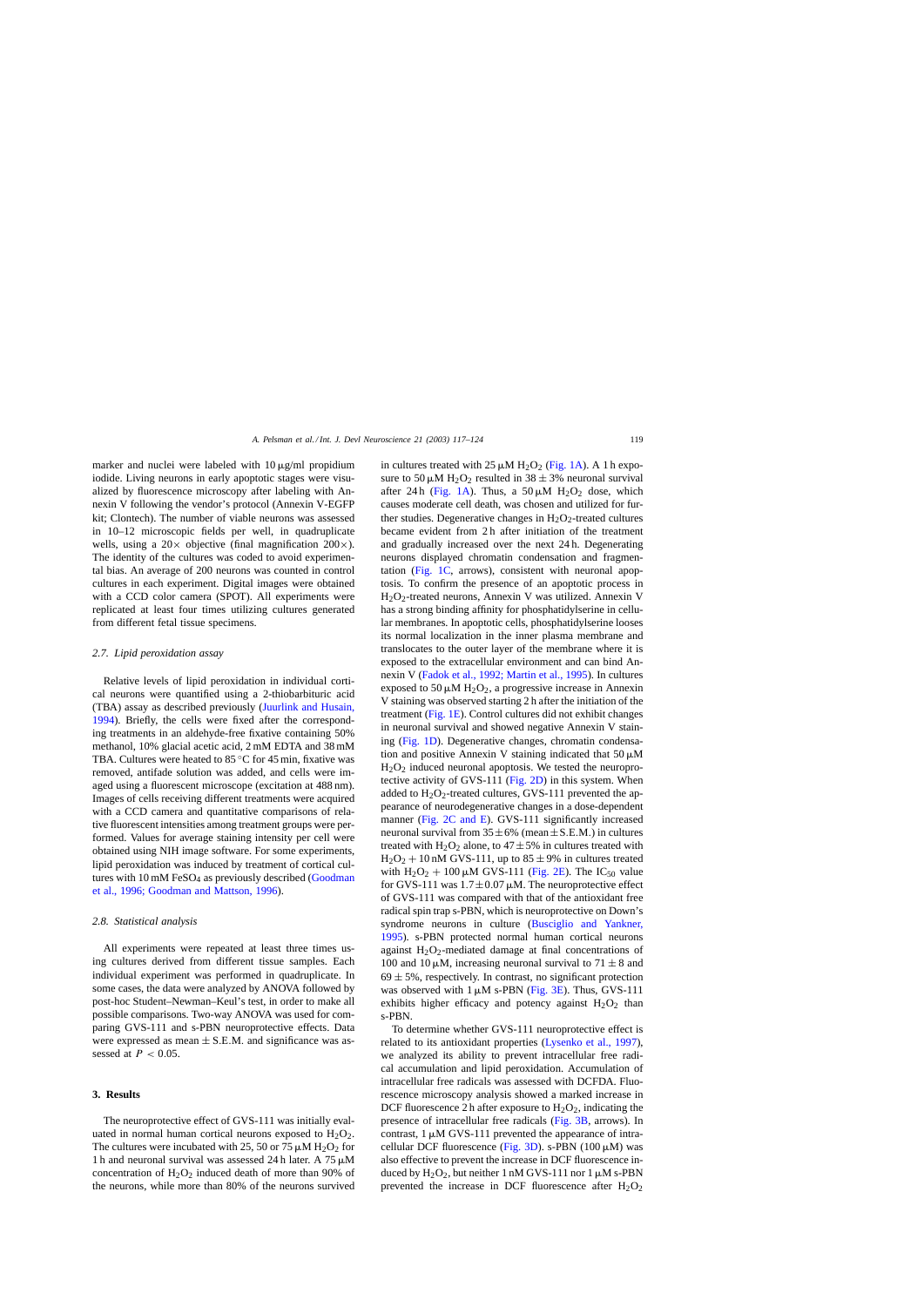marker and nuclei were labeled with  $10 \mu g/ml$  propidium iodide. Living neurons in early apoptotic stages were visualized by fluorescence microscopy after labeling with Annexin V following the vendor's protocol (Annexin V-EGFP kit; Clontech). The number of viable neurons was assessed in 10–12 microscopic fields per well, in quadruplicate wells, using a  $20 \times$  objective (final magnification  $200 \times$ ). The identity of the cultures was coded to avoid experimental bias. An average of 200 neurons was counted in control cultures in each experiment. Digital images were obtained with a CCD color camera (SPOT). All experiments were replicated at least four times utilizing cultures generated from different fetal tissue specimens.

## *2.7. Lipid peroxidation assay*

Relative levels of lipid peroxidation in individual cortical neurons were quantified using a 2-thiobarbituric acid (TBA) assay as described previously [\(Juurlink and Husain,](#page-7-0) [1994\).](#page-7-0) Briefly, the cells were fixed after the corresponding treatments in an aldehyde-free fixative containing 50% methanol, 10% glacial acetic acid, 2 mM EDTA and 38 mM TBA. Cultures were heated to 85 ◦C for 45 min, fixative was removed, antifade solution was added, and cells were imaged using a fluorescent microscope (excitation at 488 nm). Images of cells receiving different treatments were acquired with a CCD camera and quantitative comparisons of relative fluorescent intensities among treatment groups were performed. Values for average staining intensity per cell were obtained using NIH image software. For some experiments, lipid peroxidation was induced by treatment of cortical cultures with  $10 \text{ mM } F$ eSO<sub>4</sub> as previously described [\(Goodman](#page-6-0) [et al., 1996; Goodman and Mattson, 1996\).](#page-6-0)

#### *2.8. Statistical analysis*

All experiments were repeated at least three times using cultures derived from different tissue samples. Each individual experiment was performed in quadruplicate. In some cases, the data were analyzed by ANOVA followed by post-hoc Student–Newman–Keul's test, in order to make all possible comparisons. Two-way ANOVA was used for comparing GVS-111 and s-PBN neuroprotective effects. Data were expressed as mean  $\pm$  S.E.M. and significance was assessed at  $P < 0.05$ .

# **3. Results**

The neuroprotective effect of GVS-111 was initially evaluated in normal human cortical neurons exposed to  $H_2O_2$ . The cultures were incubated with 25, 50 or 75  $\mu$ M H<sub>2</sub>O<sub>2</sub> for 1 h and neuronal survival was assessed 24 h later. A  $75 \mu M$ concentration of  $H_2O_2$  induced death of more than 90% of the neurons, while more than 80% of the neurons survived

in cultures treated with  $25 \mu M H_2O_2$  ([Fig. 1A\).](#page-3-0) A 1 h exposure to 50  $\mu$ M H<sub>2</sub>O<sub>2</sub> resulted in 38  $\pm$  3% neuronal survival after 24 h ([Fig. 1A\)](#page-3-0). Thus, a  $50 \mu M$  H<sub>2</sub>O<sub>2</sub> dose, which causes moderate cell death, was chosen and utilized for further studies. Degenerative changes in  $H_2O_2$ -treated cultures became evident from 2 h after initiation of the treatment and gradually increased over the next 24 h. Degenerating neurons displayed chromatin condensation and fragmentation [\(Fig. 1C,](#page-3-0) arrows), consistent with neuronal apoptosis. To confirm the presence of an apoptotic process in H2O2-treated neurons, Annexin V was utilized. Annexin V has a strong binding affinity for phosphatidylserine in cellular membranes. In apoptotic cells, phosphatidylserine looses its normal localization in the inner plasma membrane and translocates to the outer layer of the membrane where it is exposed to the extracellular environment and can bind Annexin V ([Fadok et al., 1992; Martin et al., 1995\).](#page-6-0) In cultures exposed to 50  $\mu$ M H<sub>2</sub>O<sub>2</sub>, a progressive increase in Annexin V staining was observed starting 2 h after the initiation of the treatment ([Fig. 1E\).](#page-3-0) Control cultures did not exhibit changes in neuronal survival and showed negative Annexin V staining ([Fig. 1D\).](#page-3-0) Degenerative changes, chromatin condensation and positive Annexin V staining indicated that  $50 \mu M$  $H<sub>2</sub>O<sub>2</sub>$  induced neuronal apoptosis. We tested the neuroprotective activity of GVS-111 ([Fig. 2D\)](#page-4-0) in this system. When added to  $H_2O_2$ -treated cultures, GVS-111 prevented the appearance of neurodegenerative changes in a dose-dependent manner [\(Fig. 2C and E\)](#page-4-0). GVS-111 significantly increased neuronal survival from  $35 \pm 6\%$  (mean  $\pm$  S.E.M.) in cultures treated with H<sub>2</sub>O<sub>2</sub> alone, to  $47 \pm 5\%$  in cultures treated with  $H_2O_2 + 10$  nM GVS-111, up to  $85 \pm 9\%$  in cultures treated with  $H_2O_2 + 100 \mu M$  GVS-111 ([Fig. 2E\).](#page-4-0) The IC<sub>50</sub> value for GVS-111 was  $1.7 \pm 0.07 \mu$ M. The neuroprotective effect of GVS-111 was compared with that of the antioxidant free radical spin trap s-PBN, which is neuroprotective on Down's syndrome neurons in culture ([Busciglio and Yankner,](#page-6-0) [1995\).](#page-6-0) s-PBN protected normal human cortical neurons against  $H_2O_2$ -mediated damage at final concentrations of 100 and 10  $\mu$ M, increasing neuronal survival to 71  $\pm$  8 and  $69 \pm 5$ %, respectively. In contrast, no significant protection was observed with  $1 \mu M$  s-PBN ([Fig. 3E\).](#page-4-0) Thus, GVS-111 exhibits higher efficacy and potency against  $H_2O_2$  than s-PBN.

To determine whether GVS-111 neuroprotective effect is related to its antioxidant properties [\(Lysenko et al., 1997\),](#page-7-0) we analyzed its ability to prevent intracellular free radical accumulation and lipid peroxidation. Accumulation of intracellular free radicals was assessed with DCFDA. Fluorescence microscopy analysis showed a marked increase in DCF fluorescence 2 h after exposure to  $H_2O_2$ , indicating the presence of intracellular free radicals [\(Fig. 3B,](#page-4-0) arrows). In contrast,  $1 \mu M$  GVS-111 prevented the appearance of intra-cellular DCF fluorescence [\(Fig. 3D\).](#page-4-0) s-PBN (100  $\mu$ M) was also effective to prevent the increase in DCF fluorescence induced by  $H_2O_2$ , but neither 1 nM GVS-111 nor 1  $\mu$ M s-PBN prevented the increase in DCF fluorescence after  $H_2O_2$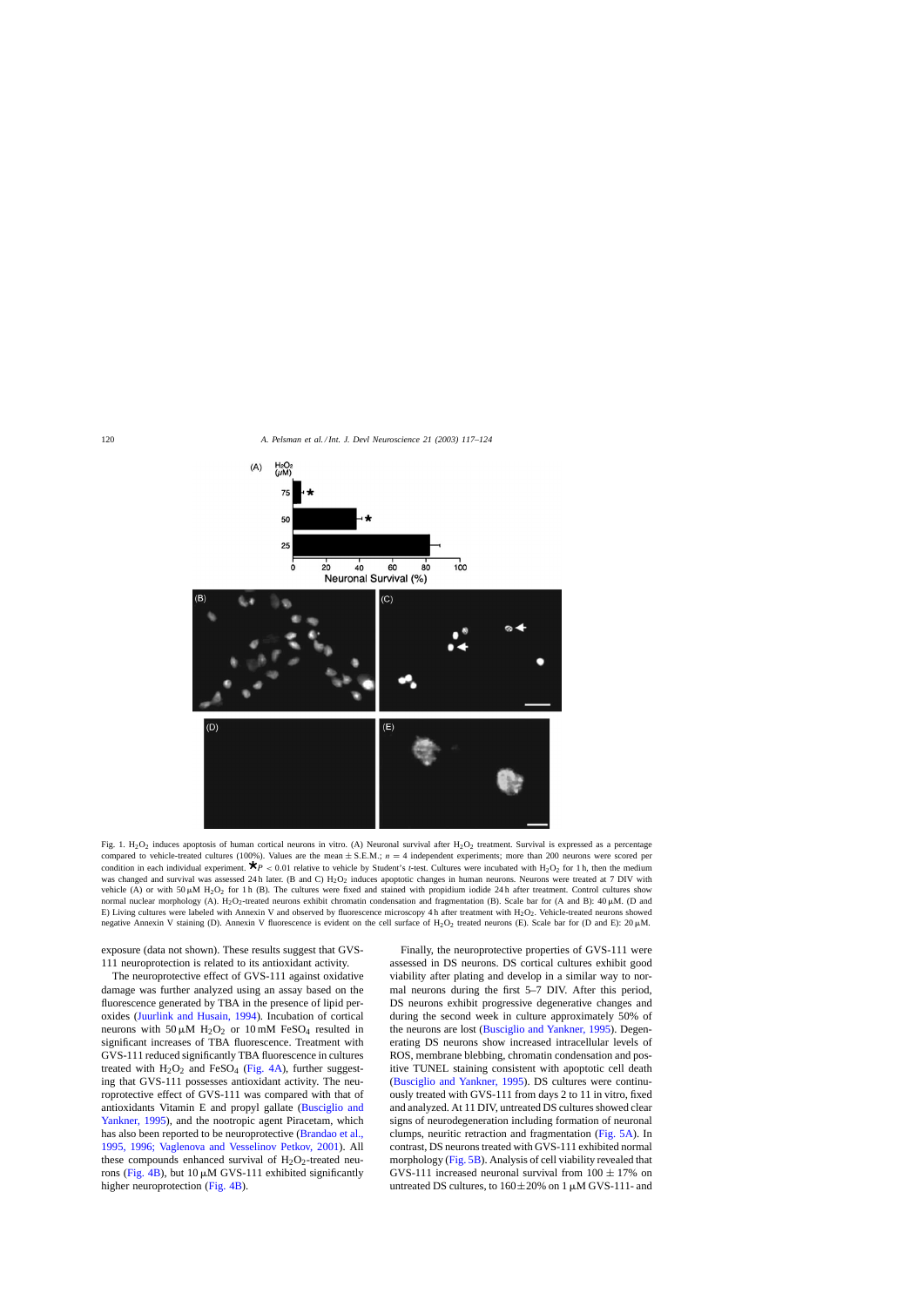<span id="page-3-0"></span>

Fig. 1.  $H_2O_2$  induces apoptosis of human cortical neurons in vitro. (A) Neuronal survival after  $H_2O_2$  treatment. Survival is expressed as a percentage compared to vehicle-treated cultures (100%). Values are the mean  $\pm$  S.E.M.;  $n = 4$  independent experiments; more than 200 neurons were scored per condition in each individual experiment.  $\bigstar_{P}$  < 0.01 relative to vehicle by Student's *t*-test. Cultures were incubated with H<sub>2</sub>O<sub>2</sub> for 1 h, then the medium was changed and survival was assessed 24 h later. (B and C) H<sub>2</sub>O<sub>2</sub> induces apoptotic changes in human neurons. Neurons were treated at 7 DIV with vehicle (A) or with  $50 \mu M$  H<sub>2</sub>O<sub>2</sub> for 1 h (B). The cultures were fixed and stained with propidium iodide 24 h after treatment. Control cultures show normal nuclear morphology (A). H<sub>2</sub>O<sub>2</sub>-treated neurons exhibit chromatin condensation and fragmentation (B). Scale bar for (A and B): 40  $\mu$ M. (D and E) Living cultures were labeled with Annexin V and observed by fluorescence microscopy 4 h after treatment with  $H_2O_2$ . Vehicle-treated neurons showed negative Annexin V staining (D). Annexin V fluorescence is evident on the cell surface of  $H_2O_2$  treated neurons (E). Scale bar for (D and E):  $20 \mu$ M.

exposure (data not shown). These results suggest that GVS-111 neuroprotection is related to its antioxidant activity.

The neuroprotective effect of GVS-111 against oxidative damage was further analyzed using an assay based on the fluorescence generated by TBA in the presence of lipid peroxides [\(Juurlink and Husain, 1994\)](#page-7-0). Incubation of cortical neurons with  $50 \mu M$  H<sub>2</sub>O<sub>2</sub> or 10 mM FeSO<sub>4</sub> resulted in significant increases of TBA fluorescence. Treatment with GVS-111 reduced significantly TBA fluorescence in cultures treated with  $H_2O_2$  and FeSO<sub>4</sub> [\(Fig. 4A\),](#page-5-0) further suggesting that GVS-111 possesses antioxidant activity. The neuroprotective effect of GVS-111 was compared with that of antioxidants Vitamin E and propyl gallate ([Busciglio and](#page-6-0) [Yankner, 1995\),](#page-6-0) and the nootropic agent Piracetam, which has also been reported to be neuroprotective ([Brandao et al.,](#page-6-0) [1995, 1996; Vaglenova and Vesselinov Petkov, 2001](#page-6-0)). All these compounds enhanced survival of  $H_2O_2$ -treated neu-rons ([Fig. 4B\),](#page-5-0) but  $10 \mu M$  GVS-111 exhibited significantly higher neuroprotection [\(Fig. 4B\).](#page-5-0)

Finally, the neuroprotective properties of GVS-111 were assessed in DS neurons. DS cortical cultures exhibit good viability after plating and develop in a similar way to normal neurons during the first 5–7 DIV. After this period, DS neurons exhibit progressive degenerative changes and during the second week in culture approximately 50% of the neurons are lost [\(Busciglio and Yankner, 1995\).](#page-6-0) Degenerating DS neurons show increased intracellular levels of ROS, membrane blebbing, chromatin condensation and positive TUNEL staining consistent with apoptotic cell death ([Busciglio and Yankner, 1995\).](#page-6-0) DS cultures were continuously treated with GVS-111 from days 2 to 11 in vitro, fixed and analyzed. At 11 DIV, untreated DS cultures showed clear signs of neurodegeneration including formation of neuronal clumps, neuritic retraction and fragmentation ([Fig. 5A\).](#page-5-0) In contrast, DS neurons treated with GVS-111 exhibited normal morphology [\(Fig. 5B\).](#page-5-0) Analysis of cell viability revealed that GVS-111 increased neuronal survival from  $100 \pm 17\%$  on untreated DS cultures, to  $160 \pm 20\%$  on 1  $\mu$ M GVS-111- and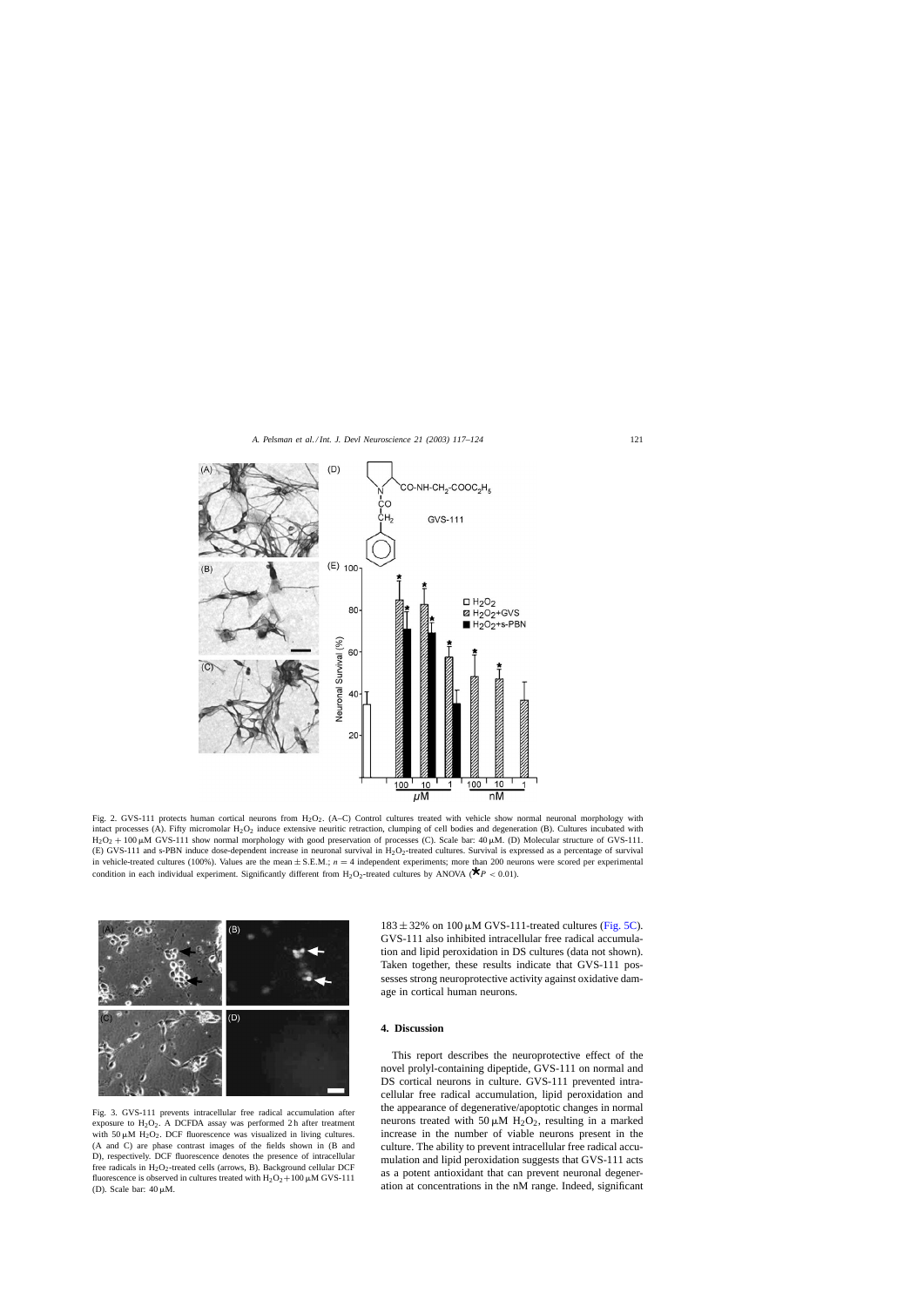<span id="page-4-0"></span>

Fig. 2. GVS-111 protects human cortical neurons from H<sub>2</sub>O<sub>2</sub>. (A–C) Control cultures treated with vehicle show normal neuronal morphology with intact processes (A). Fifty micromolar  $H_2O_2$  induce extensive neuritic retraction, clumping of cell bodies and degeneration (B). Cultures incubated with  $H_2O_2 + 100 \mu M$  GVS-111 show normal morphology with good preservation of processes (C). Scale bar: 40  $\mu$ M. (D) Molecular structure of GVS-111. (E) GVS-111 and s-PBN induce dose-dependent increase in neuronal survival in H2O2-treated cultures. Survival is expressed as a percentage of survival in vehicle-treated cultures (100%). Values are the mean  $\pm$  S.E.M.;  $n = 4$  independent experiments; more than 200 neurons were scored per experimental condition in each individual experiment. Significantly different from H<sub>2</sub>O<sub>2</sub>-treated cultures by ANOVA ( $\bigstar_P$  < 0.01).



Fig. 3. GVS-111 prevents intracellular free radical accumulation after exposure to  $H_2O_2$ . A DCFDA assay was performed 2h after treatment with 50  $\mu$ M H<sub>2</sub>O<sub>2</sub>. DCF fluorescence was visualized in living cultures. (A and C) are phase contrast images of the fields shown in (B and D), respectively. DCF fluorescence denotes the presence of intracellular free radicals in  $H_2O_2$ -treated cells (arrows, B). Background cellular DCF fluorescence is observed in cultures treated with  $H_2O_2+100 \mu M$  GVS-111 (D). Scale bar:  $40 \mu M$ .

 $183 \pm 32\%$  on 100  $\mu$ M GVS-111-treated cultures ([Fig. 5C\).](#page-5-0) GVS-111 also inhibited intracellular free radical accumulation and lipid peroxidation in DS cultures (data not shown). Taken together, these results indicate that GVS-111 possesses strong neuroprotective activity against oxidative damage in cortical human neurons.

## **4. Discussion**

This report describes the neuroprotective effect of the novel prolyl-containing dipeptide, GVS-111 on normal and DS cortical neurons in culture. GVS-111 prevented intracellular free radical accumulation, lipid peroxidation and the appearance of degenerative/apoptotic changes in normal neurons treated with 50  $\mu$ M H<sub>2</sub>O<sub>2</sub>, resulting in a marked increase in the number of viable neurons present in the culture. The ability to prevent intracellular free radical accumulation and lipid peroxidation suggests that GVS-111 acts as a potent antioxidant that can prevent neuronal degeneration at concentrations in the nM range. Indeed, significant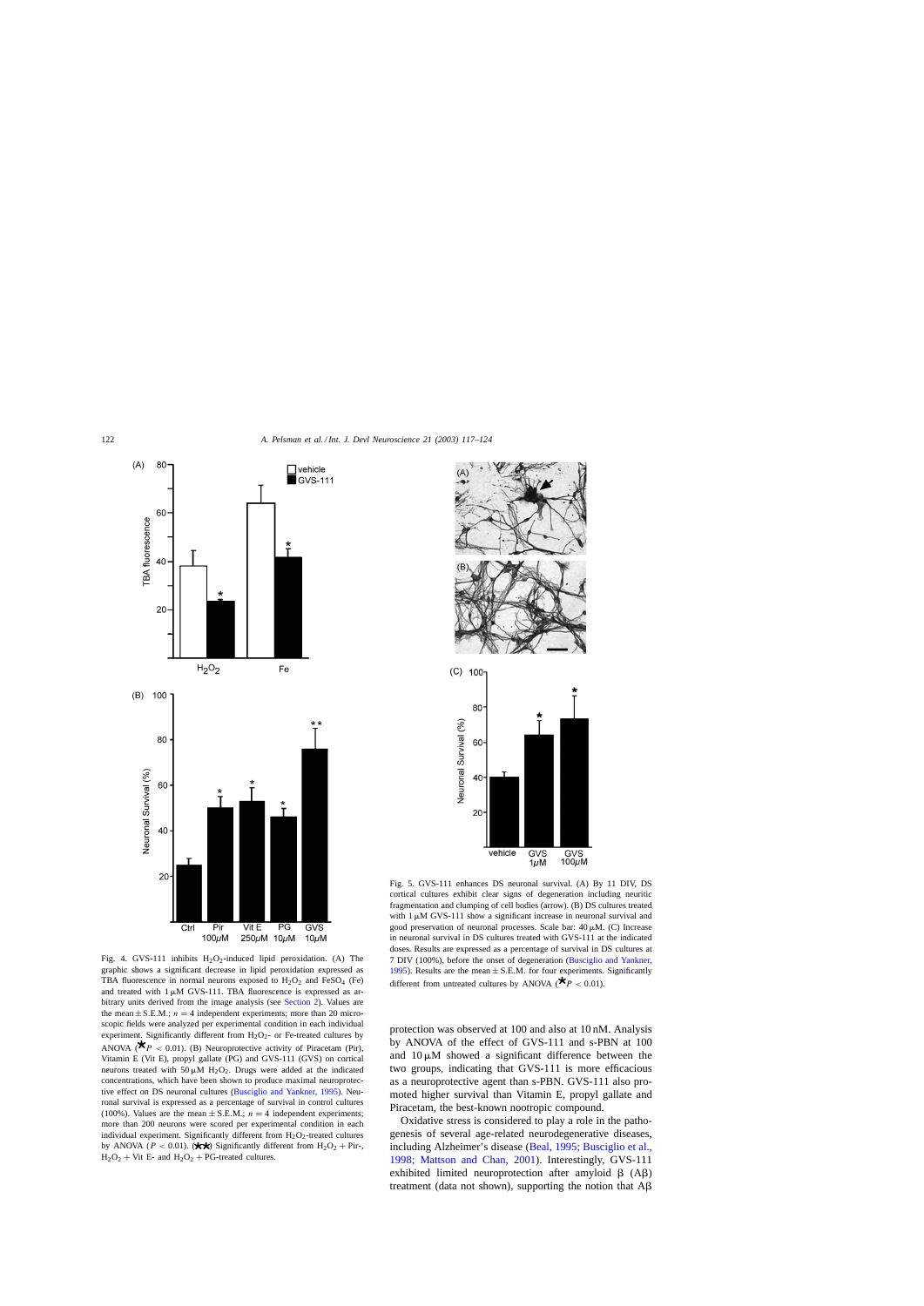<span id="page-5-0"></span>

Fig. 4. GVS-111 inhibits  $H_2O_2$ -induced lipid peroxidation. (A) The graphic shows a significant decrease in lipid peroxidation expressed as TBA fluorescence in normal neurons exposed to  $H_2O_2$  and  $FeSO_4$  (Fe) and treated with  $1 \mu M$  GVS-111. TBA fluorescence is expressed as arbitrary units derived from the image analysis (see [Section 2\).](#page-1-0) Values are the mean  $\pm$  S.E.M.;  $n = 4$  independent experiments; more than 20 microscopic fields were analyzed per experimental condition in each individual experiment. Significantly different from  $H_2O_2$ - or Fe-treated cultures by ANOVA ( $\bigstar_P$  < 0.01). (B) Neuroprotective activity of Piracetam (Pir), Vitamin E (Vit E), propyl gallate (PG) and GVS-111 (GVS) on cortical neurons treated with  $50 \mu M H_2O_2$ . Drugs were added at the indicated concentrations, which have been shown to produce maximal neuroprotective effect on DS neuronal cultures [\(Busciglio and Yankner, 1995\).](#page-6-0) Neuronal survival is expressed as a percentage of survival in control cultures (100%). Values are the mean  $\pm$  S.E.M.;  $n = 4$  independent experiments; more than 200 neurons were scored per experimental condition in each individual experiment. Significantly different from  $H_2O_2$ -treated cultures by ANOVA ( $P < 0.01$ ). ( $\star\star$ ) Significantly different from H<sub>2</sub>O<sub>2</sub> + Pir-,  $H_2O_2 + V$ it E- and  $H_2O_2 + PG$ -treated cultures.



Fig. 5. GVS-111 enhances DS neuronal survival. (A) By 11 DIV, DS cortical cultures exhibit clear signs of degeneration including neuritic fragmentation and clumping of cell bodies (arrow). (B) DS cultures treated with  $1 \mu M$  GVS-111 show a significant increase in neuronal survival and good preservation of neuronal processes. Scale bar:  $40 \mu M$ . (C) Increase in neuronal survival in DS cultures treated with GVS-111 at the indicated doses. Results are expressed as a percentage of survival in DS cultures at 7 DIV (100%), before the onset of degeneration ([Busciglio and Yankner,](#page-6-0) [1995\).](#page-6-0) Results are the mean  $\pm$  S.E.M. for four experiments. Significantly different from untreated cultures by ANOVA ( $\bigstar_P$  < 0.01).

protection was observed at 100 and also at 10 nM. Analysis by ANOVA of the effect of GVS-111 and s-PBN at 100 and  $10 \mu M$  showed a significant difference between the two groups, indicating that GVS-111 is more efficacious as a neuroprotective agent than s-PBN. GVS-111 also promoted higher survival than Vitamin E, propyl gallate and Piracetam, the best-known nootropic compound.

Oxidative stress is considered to play a role in the pathogenesis of several age-related neurodegenerative diseases, including Alzheimer's disease ([Beal, 1995; Busciglio et al.,](#page-6-0) [1998; Mattson and Chan, 2001](#page-6-0)). Interestingly, GVS-111 exhibited limited neuroprotection after amyloid  $\beta$  (A $\beta$ ) treatment (data not shown), supporting the notion that  $A\beta$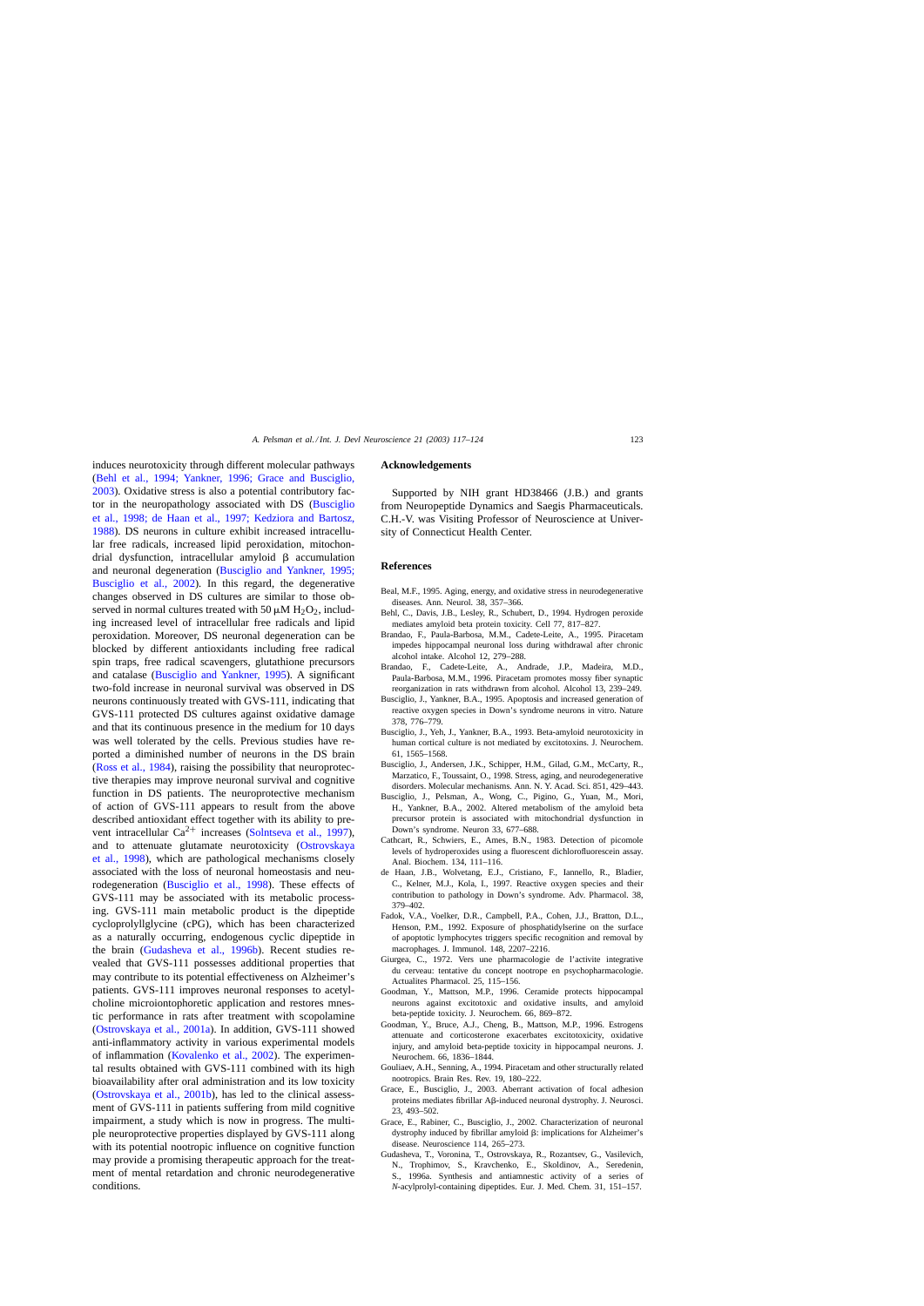<span id="page-6-0"></span>induces neurotoxicity through different molecular pathways (Behl et al., 1994; Yankner, 1996; Grace and Busciglio, 2003). Oxidative stress is also a potential contributory factor in the neuropathology associated with DS (Busciglio et al., 1998; de Haan et al., 1997; Kedziora and Bartosz, 1988). DS neurons in culture exhibit increased intracellular free radicals, increased lipid peroxidation, mitochondrial dysfunction, intracellular amyloid  $\beta$  accumulation and neuronal degeneration (Busciglio and Yankner, 1995; Busciglio et al., 2002). In this regard, the degenerative changes observed in DS cultures are similar to those observed in normal cultures treated with 50  $\mu$ M H<sub>2</sub>O<sub>2</sub>, including increased level of intracellular free radicals and lipid peroxidation. Moreover, DS neuronal degeneration can be blocked by different antioxidants including free radical spin traps, free radical scavengers, glutathione precursors and catalase (Busciglio and Yankner, 1995). A significant two-fold increase in neuronal survival was observed in DS neurons continuously treated with GVS-111, indicating that GVS-111 protected DS cultures against oxidative damage and that its continuous presence in the medium for 10 days was well tolerated by the cells. Previous studies have reported a diminished number of neurons in the DS brain ([Ross et al., 1984\),](#page-7-0) raising the possibility that neuroprotective therapies may improve neuronal survival and cognitive function in DS patients. The neuroprotective mechanism of action of GVS-111 appears to result from the above described antioxidant effect together with its ability to prevent intracellular  $Ca^{2+}$  increases [\(Solntseva et al., 1997\)](#page-7-0), and to attenuate glutamate neurotoxicity ([Ostrovskaya](#page-7-0) [et al., 1998\)](#page-7-0), which are pathological mechanisms closely associated with the loss of neuronal homeostasis and neurodegeneration (Busciglio et al., 1998). These effects of GVS-111 may be associated with its metabolic processing. GVS-111 main metabolic product is the dipeptide cycloprolyllglycine (cPG), which has been characterized as a naturally occurring, endogenous cyclic dipeptide in the brain [\(Gudasheva et al., 1996b](#page-7-0)). Recent studies revealed that GVS-111 possesses additional properties that may contribute to its potential effectiveness on Alzheimer's patients. GVS-111 improves neuronal responses to acetylcholine microiontophoretic application and restores mnestic performance in rats after treatment with scopolamine ([Ostrovskaya et al., 2001a\).](#page-7-0) In addition, GVS-111 showed anti-inflammatory activity in various experimental models of inflammation [\(Kovalenko et al., 2002\).](#page-7-0) The experimental results obtained with GVS-111 combined with its high bioavailability after oral administration and its low toxicity ([Ostrovskaya et al., 2001b\)](#page-7-0), has led to the clinical assessment of GVS-111 in patients suffering from mild cognitive impairment, a study which is now in progress. The multiple neuroprotective properties displayed by GVS-111 along with its potential nootropic influence on cognitive function may provide a promising therapeutic approach for the treatment of mental retardation and chronic neurodegenerative conditions.

#### **Acknowledgements**

Supported by NIH grant HD38466 (J.B.) and grants from Neuropeptide Dynamics and Saegis Pharmaceuticals. C.H.-V. was Visiting Professor of Neuroscience at University of Connecticut Health Center.

#### **References**

- Beal, M.F., 1995. Aging, energy, and oxidative stress in neurodegenerative diseases. Ann. Neurol. 38, 357–366.
- Behl, C., Davis, J.B., Lesley, R., Schubert, D., 1994. Hydrogen peroxide mediates amyloid beta protein toxicity. Cell 77, 817–827.
- Brandao, F., Paula-Barbosa, M.M., Cadete-Leite, A., 1995. Piracetam impedes hippocampal neuronal loss during withdrawal after chronic alcohol intake. Alcohol 12, 279–288.
- Brandao, F., Cadete-Leite, A., Andrade, J.P., Madeira, M.D., Paula-Barbosa, M.M., 1996. Piracetam promotes mossy fiber synaptic reorganization in rats withdrawn from alcohol. Alcohol 13, 239–249.
- Busciglio, J., Yankner, B.A., 1995. Apoptosis and increased generation of reactive oxygen species in Down's syndrome neurons in vitro. Nature 378, 776–779.
- Busciglio, J., Yeh, J., Yankner, B.A., 1993. Beta-amyloid neurotoxicity in human cortical culture is not mediated by excitotoxins. J. Neurochem. 61, 1565–1568.
- Busciglio, J., Andersen, J.K., Schipper, H.M., Gilad, G.M., McCarty, R., Marzatico, F., Toussaint, O., 1998. Stress, aging, and neurodegenerative disorders. Molecular mechanisms. Ann. N. Y. Acad. Sci. 851, 429–443.
- Busciglio, J., Pelsman, A., Wong, C., Pigino, G., Yuan, M., Mori, H., Yankner, B.A., 2002. Altered metabolism of the amyloid beta precursor protein is associated with mitochondrial dysfunction in Down's syndrome. Neuron 33, 677–688.
- Cathcart, R., Schwiers, E., Ames, B.N., 1983. Detection of picomole levels of hydroperoxides using a fluorescent dichlorofluorescein assay. Anal. Biochem. 134, 111–116.
- de Haan, J.B., Wolvetang, E.J., Cristiano, F., Iannello, R., Bladier, C., Kelner, M.J., Kola, I., 1997. Reactive oxygen species and their contribution to pathology in Down's syndrome. Adv. Pharmacol. 38, 379–402.
- Fadok, V.A., Voelker, D.R., Campbell, P.A., Cohen, J.J., Bratton, D.L., Henson, P.M., 1992. Exposure of phosphatidylserine on the surface of apoptotic lymphocytes triggers specific recognition and removal by macrophages. J. Immunol. 148, 2207–2216.
- Giurgea, C., 1972. Vers une pharmacologie de l'activite integrative du cerveau: tentative du concept nootrope en psychopharmacologie. Actualites Pharmacol. 25, 115–156.
- Goodman, Y., Mattson, M.P., 1996. Ceramide protects hippocampal neurons against excitotoxic and oxidative insults, and amyloid beta-peptide toxicity. J. Neurochem. 66, 869–872.
- Goodman, Y., Bruce, A.J., Cheng, B., Mattson, M.P., 1996. Estrogens attenuate and corticosterone exacerbates excitotoxicity, oxidative injury, and amyloid beta-peptide toxicity in hippocampal neurons. J. Neurochem. 66, 1836–1844.
- Gouliaev, A.H., Senning, A., 1994. Piracetam and other structurally related nootropics. Brain Res. Rev. 19, 180–222.
- Grace, E., Busciglio, J., 2003. Aberrant activation of focal adhesion proteins mediates fibrillar Aß-induced neuronal dystrophy. J. Neurosci. 23, 493–502.
- Grace, E., Rabiner, C., Busciglio, J., 2002. Characterization of neuronal dystrophy induced by fibrillar amyloid  $\beta$ : implications for Alzheimer's disease. Neuroscience 114, 265–273.
- Gudasheva, T., Voronina, T., Ostrovskaya, R., Rozantsev, G., Vasilevich, N., Trophimov, S., Kravchenko, E., Skoldinov, A., Seredenin, S., 1996a. Synthesis and antiamnestic activity of a series of *N*-acylprolyl-containing dipeptides. Eur. J. Med. Chem. 31, 151–157.